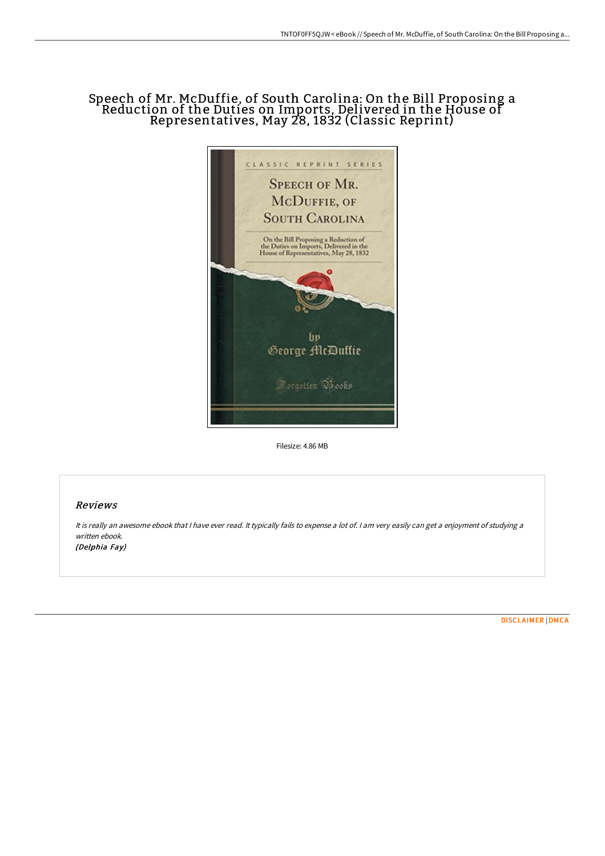## Speech of Mr. McDuffie, of South Carolina: On the Bill Proposing a Reduction of the Duties on Imports, Delivered in the House of Representatives, May 28, 1832 (Classic Reprint)



Filesize: 4.86 MB

## Reviews

It is really an awesome ebook that <sup>I</sup> have ever read. It typically fails to expense <sup>a</sup> lot of. <sup>I</sup> am very easily can get <sup>a</sup> enjoyment of studying <sup>a</sup> written ebook. (Delphia Fay)

[DISCLAIMER](http://albedo.media/disclaimer.html) | [DMCA](http://albedo.media/dmca.html)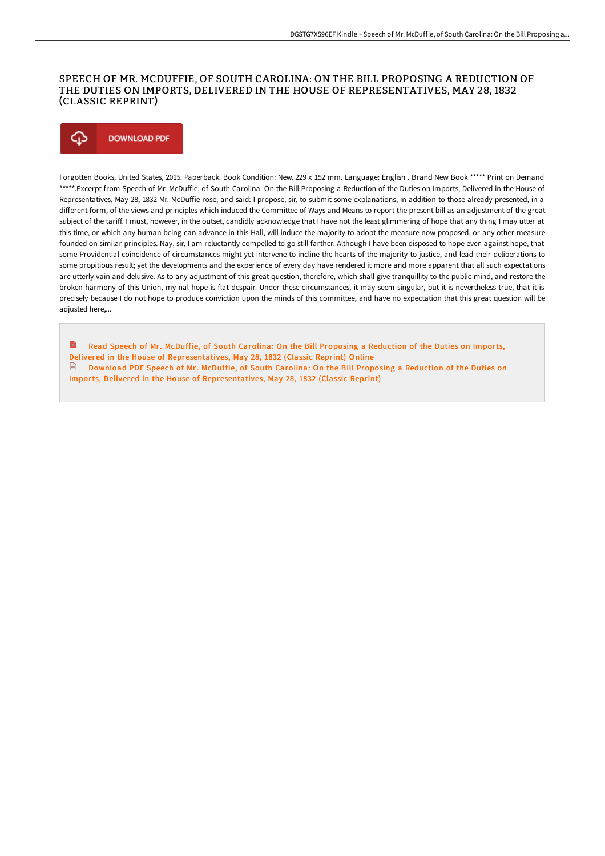## SPEECH OF MR. MCDUFFIE, OF SOUTH CAROLINA: ON THE BILL PROPOSING A REDUCTION OF THE DUTIES ON IMPORTS, DELIVERED IN THE HOUSE OF REPRESENTATIVES, MAY 28, 1832 (CLASSIC REPRINT)

## Φ **DOWNLOAD PDF**

Forgotten Books, United States, 2015. Paperback. Book Condition: New. 229 x 152 mm. Language: English . Brand New Book \*\*\*\*\* Print on Demand \*\*\*\*\*.Excerpt from Speech of Mr. McDuffie, of South Carolina: On the Bill Proposing a Reduction of the Duties on Imports, Delivered in the House of Representatives, May 28, 1832 Mr. McDuffie rose, and said: I propose, sir, to submit some explanations, in addition to those already presented, in a different form, of the views and principles which induced the Committee of Ways and Means to report the present bill as an adjustment of the great subject of the tariff. I must, however, in the outset, candidly acknowledge that I have not the least glimmering of hope that any thing I may utter at this time, or which any human being can advance in this Hall, will induce the majority to adopt the measure now proposed, or any other measure founded on similar principles. Nay, sir, I am reluctantly compelled to go still farther. Although I have been disposed to hope even against hope, that some Providential coincidence of circumstances might yet intervene to incline the hearts of the majority to justice, and lead their deliberations to some propitious result; yet the developments and the experience of every day have rendered it more and more apparent that all such expectations are utterly vain and delusive. As to any adjustment of this great question, therefore, which shall give tranquillity to the public mind, and restore the broken harmony of this Union, my nal hope is flat despair. Under these circumstances, it may seem singular, but it is nevertheless true, that it is precisely because I do not hope to produce conviction upon the minds of this committee, and have no expectation that this great question will be adiusted here....

B Read Speech of Mr. McDuffie, of South Carolina: On the Bill Proposing a Reduction of the Duties on Imports, Delivered in the House of [Representatives,](http://albedo.media/speech-of-mr-mcduffie-of-south-carolina-on-the-b.html) May 28, 1832 (Classic Reprint) Online Download PDF Speech of Mr. McDuffie, of South Carolina: On the Bill Proposing a Reduction of the Duties on Imports, Delivered in the House of [Representatives,](http://albedo.media/speech-of-mr-mcduffie-of-south-carolina-on-the-b.html) May 28, 1832 (Classic Reprint)